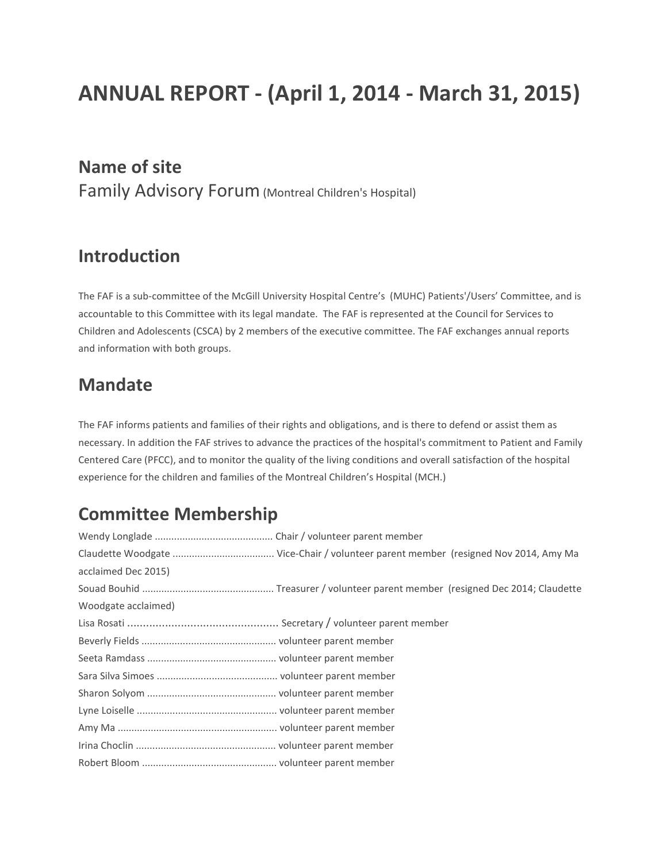# **ANNUAL REPORT - (April 1, 2014 - March 31, 2015)**

### **Name of site**

Family Advisory Forum(Montreal Children's Hospital)

### **Introduction**

The FAF is a sub-committee of the McGill University Hospital Centre's (MUHC) Patients'/Users' Committee, and is accountable to this Committee with its legal mandate. The FAF is represented at the Council for Services to Children and Adolescents (CSCA) by 2 members of the executive committee. The FAF exchanges annual reports and information with both groups.

### **Mandate**

The FAF informs patients and families of their rights and obligations, and is there to defend or assist them as necessary. In addition the FAF strives to advance the practices of the hospital's commitment to Patient and Family Centered Care (PFCC), and to monitor the quality of the living conditions and overall satisfaction of the hospital experience for the children and families of the Montreal Children's Hospital (MCH.)

### **Committee Membership**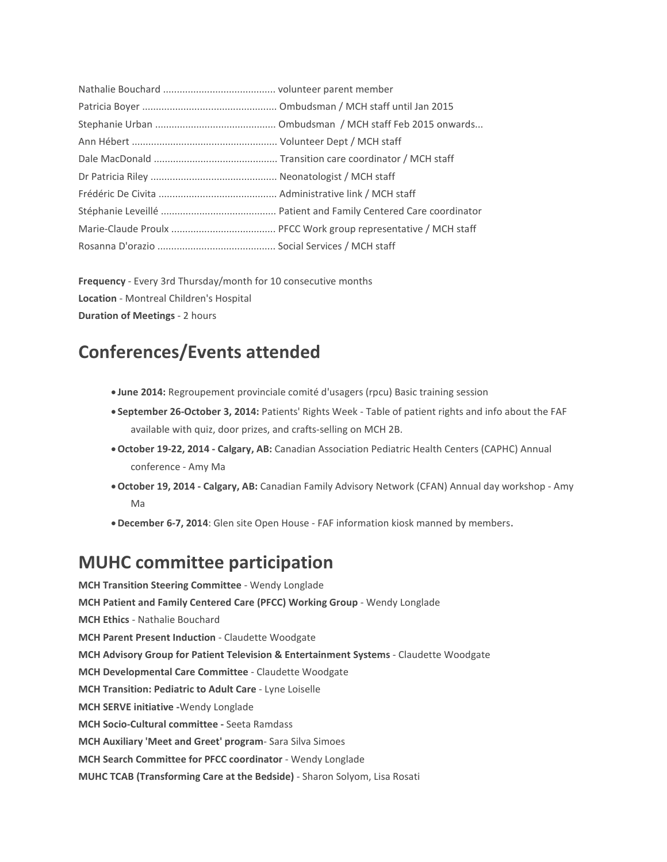**Frequency** - Every 3rd Thursday/month for 10 consecutive months **Location** - Montreal Children's Hospital **Duration of Meetings** - 2 hours

### **Conferences/Events attended**

- **June 2014:** Regroupement provinciale comité d'usagers (rpcu) Basic training session
- **September 26-October 3, 2014:** Patients' Rights Week Table of patient rights and info about the FAF available with quiz, door prizes, and crafts-selling on MCH 2B.
- •**October 19-22, 2014 - Calgary, AB:** Canadian Association Pediatric Health Centers (CAPHC) Annual conference - Amy Ma
- •**October 19, 2014 - Calgary, AB:** Canadian Family Advisory Network (CFAN) Annual day workshop Amy Ma
- •**December 6-7, 2014**: Glen site Open House FAF information kiosk manned by members.

### **MUHC committee participation**

**MCH Transition Steering Committee** - Wendy Longlade **MCH Patient and Family Centered Care (PFCC) Working Group** - Wendy Longlade **MCH Ethics** - Nathalie Bouchard **MCH Parent Present Induction** - Claudette Woodgate **MCH Advisory Group for Patient Television & Entertainment Systems** - Claudette Woodgate **MCH Developmental Care Committee** - Claudette Woodgate **MCH Transition: Pediatric to Adult Care** - Lyne Loiselle **MCH SERVE initiative -**Wendy Longlade **MCH Socio-Cultural committee -** Seeta Ramdass **MCH Auxiliary 'Meet and Greet' program**- Sara Silva Simoes **MCH Search Committee for PFCC coordinator** - Wendy Longlade **MUHC TCAB (Transforming Care at the Bedside)** - Sharon Solyom, Lisa Rosati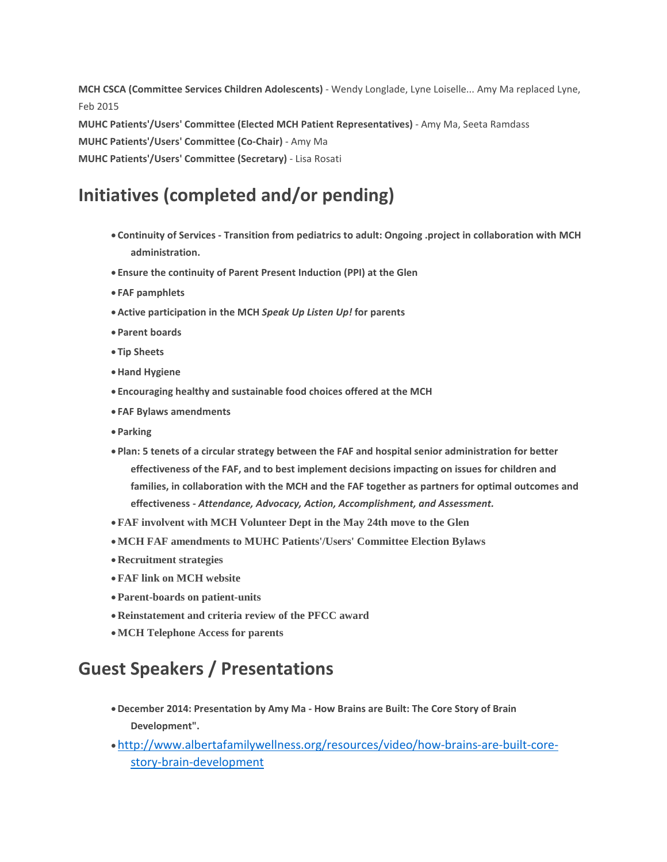**MCH CSCA (Committee Services Children Adolescents)** - Wendy Longlade, Lyne Loiselle... Amy Ma replaced Lyne, Feb 2015 **MUHC Patients'/Users' Committee (Elected MCH Patient Representatives)** - Amy Ma, Seeta Ramdass **MUHC Patients'/Users' Committee (Co-Chair)** - Amy Ma **MUHC Patients'/Users' Committee (Secretary)** - Lisa Rosati

## **Initiatives (completed and/or pending)**

- **Continuity of Services - Transition from pediatrics to adult: Ongoing .project in collaboration with MCH administration.**
- **Ensure the continuity of Parent Present Induction (PPI) at the Glen**
- **FAF pamphlets**
- •**Active participation in the MCH** *Speak Up Listen Up!* **for parents**
- **Parent boards**
- **Tip Sheets**
- •**Hand Hygiene**
- **Encouraging healthy and sustainable food choices offered at the MCH**
- **FAF Bylaws amendments**
- **Parking**
- **Plan: 5 tenets of a circular strategy between the FAF and hospital senior administration for better effectiveness of the FAF, and to best implement decisions impacting on issues for children and families, in collaboration with the MCH and the FAF together as partners for optimal outcomes and effectiveness -** *Attendance, Advocacy, Action, Accomplishment, and Assessment.*
- •**FAF involvent with MCH Volunteer Dept in the May 24th move to the Glen**
- •**MCH FAF amendments to MUHC Patients'/Users' Committee Election Bylaws**
- •**Recruitment strategies**
- •**FAF link on MCH website**
- •**Parent-boards on patient-units**
- •**Reinstatement and criteria review of the PFCC award**
- •**MCH Telephone Access for parents**

### **Guest Speakers / Presentations**

- •**December 2014: Presentation by Amy Ma - How Brains are Built: The Core Story of Brain Development".**
- •[http://www.albertafamilywellness.org/resources/video/how-brains-are-built-core](http://www.albertafamilywellness.org/resources/video/how-brains-are-built-core-story-brain-development)[story-brain-development](http://www.albertafamilywellness.org/resources/video/how-brains-are-built-core-story-brain-development)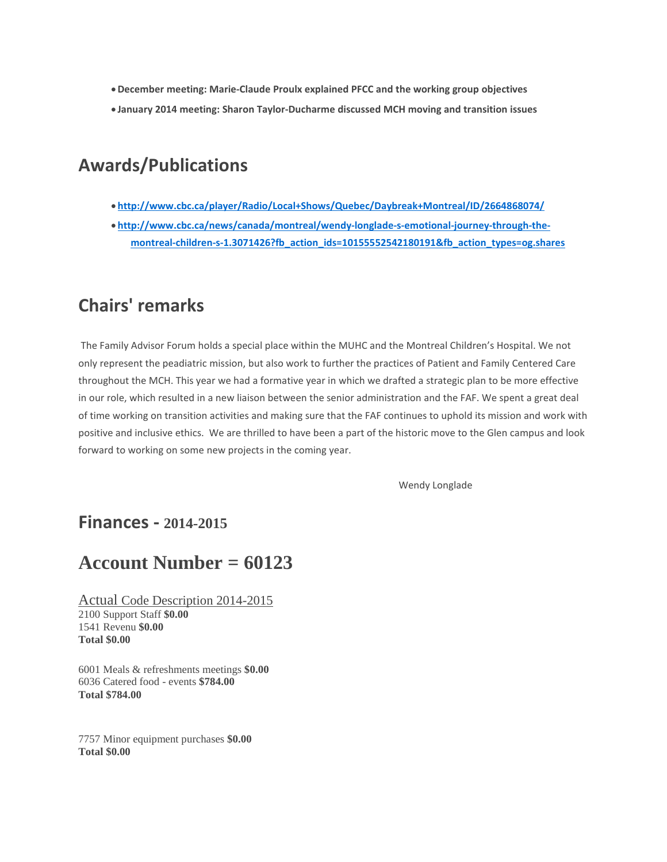- •**December meeting: Marie-Claude Proulx explained PFCC and the working group objectives**
- **January 2014 meeting: Sharon Taylor-Ducharme discussed MCH moving and transition issues**

### **Awards/Publications**

- **<http://www.cbc.ca/player/Radio/Local+Shows/Quebec/Daybreak+Montreal/ID/2664868074/>**
- **[http://www.cbc.ca/news/canada/montreal/wendy-longlade-s-emotional-journey-through-the](http://www.cbc.ca/news/canada/montreal/wendy-longlade-s-emotional-journey-through-the-montreal-children-s-1.3071426?fb_action_ids=10155552542180191&fb_action_types=og.shares)[montreal-children-s-1.3071426?fb\\_action\\_ids=10155552542180191&fb\\_action\\_types=og.shares](http://www.cbc.ca/news/canada/montreal/wendy-longlade-s-emotional-journey-through-the-montreal-children-s-1.3071426?fb_action_ids=10155552542180191&fb_action_types=og.shares)**

### **Chairs' remarks**

The Family Advisor Forum holds a special place within the MUHC and the Montreal Children's Hospital. We not only represent the peadiatric mission, but also work to further the practices of Patient and Family Centered Care throughout the MCH. This year we had a formative year in which we drafted a strategic plan to be more effective in our role, which resulted in a new liaison between the senior administration and the FAF. We spent a great deal of time working on transition activities and making sure that the FAF continues to uphold its mission and work with positive and inclusive ethics. We are thrilled to have been a part of the historic move to the Glen campus and look forward to working on some new projects in the coming year.

Wendy Longlade

#### **Finances - 2014-2015**

### **Account Number = 60123**

Actual Code Description 2014-2015 2100 Support Staff **\$0.00** 1541 Revenu **\$0.00 Total \$0.00**

6001 Meals & refreshments meetings **\$0.00** 6036 Catered food - events **\$784.00 Total \$784.00**

7757 Minor equipment purchases **\$0.00 Total \$0.00**